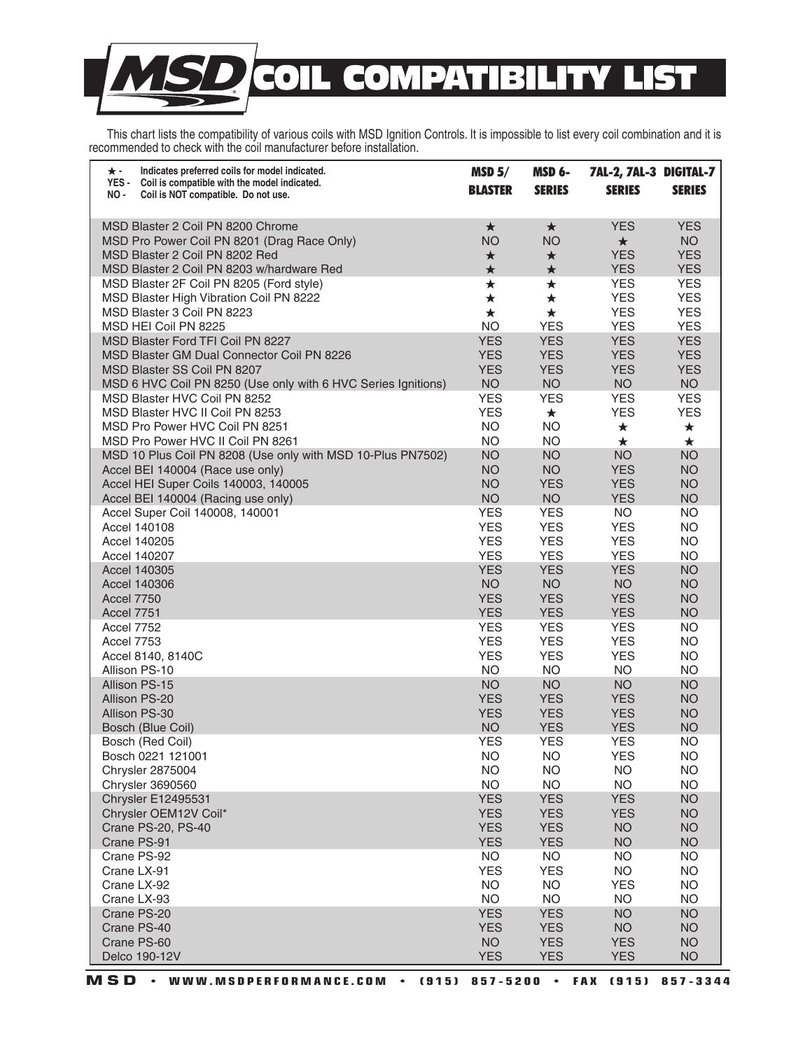## **COMPATIBILITY LIS**  $\blacksquare$  $\bullet$

 This chart lists the compatibility of various coils with MSD Ignition Controls. It is impossible to list every coil combination and it is recommended to check with the coil manufacturer before installation.

| $\star$ -<br>Indicates preferred coils for model indicated.<br>YES -<br>Coil is compatible with the model indicated. | MSD <sub>5</sub>         | <b>MSD 6-</b>           | 7AL-2, 7AL-3 DIGITAL-7   |                          |
|----------------------------------------------------------------------------------------------------------------------|--------------------------|-------------------------|--------------------------|--------------------------|
| NO -<br>Coil is NOT compatible. Do not use.                                                                          | <b>BLASTER</b>           | <b>SERIES</b>           | <b>SERIES</b>            | <b>SERIES</b>            |
| MSD Blaster 2 Coil PN 8200 Chrome                                                                                    | $\star$                  | $\star$                 | <b>YES</b>               | <b>YES</b>               |
| MSD Pro Power Coil PN 8201 (Drag Race Only)                                                                          | <b>NO</b>                | <b>NO</b>               | $\star$                  | <b>NO</b>                |
| MSD Blaster 2 Coil PN 8202 Red                                                                                       | $\star$                  | $\star$                 | <b>YES</b>               | <b>YES</b>               |
| MSD Blaster 2 Coil PN 8203 w/hardware Red                                                                            | $\bigstar$               | $\star$                 | <b>YES</b>               | <b>YES</b>               |
| MSD Blaster 2F Coil PN 8205 (Ford style)                                                                             | $\bigstar$               | $\star$                 | <b>YES</b>               | <b>YES</b>               |
| MSD Blaster High Vibration Coil PN 8222                                                                              | $\star$                  | $\star$                 | <b>YES</b>               | <b>YES</b>               |
| MSD Blaster 3 Coil PN 8223                                                                                           | $\star$                  | $\star$                 | <b>YES</b>               | <b>YES</b>               |
| MSD HEI Coil PN 8225                                                                                                 | <b>NO</b>                | <b>YES</b>              | <b>YES</b>               | <b>YES</b>               |
| MSD Blaster Ford TFI Coil PN 8227                                                                                    | <b>YES</b>               | <b>YES</b>              | <b>YES</b>               | <b>YES</b>               |
| <b>MSD Blaster GM Dual Connector Coil PN 8226</b>                                                                    | <b>YES</b>               | <b>YES</b>              | <b>YES</b>               | <b>YES</b>               |
| MSD Blaster SS Coil PN 8207                                                                                          | <b>YES</b>               | <b>YES</b>              | <b>YES</b>               | <b>YES</b>               |
| MSD 6 HVC Coil PN 8250 (Use only with 6 HVC Series Ignitions)                                                        | <b>NO</b>                | <b>NO</b>               | <b>NO</b>                | <b>NO</b>                |
| MSD Blaster HVC Coil PN 8252                                                                                         | <b>YES</b><br><b>YES</b> | <b>YES</b>              | <b>YES</b><br><b>YES</b> | <b>YES</b><br><b>YES</b> |
| MSD Blaster HVC II Coil PN 8253                                                                                      | <b>NO</b>                | $\star$<br><b>NO</b>    |                          |                          |
| MSD Pro Power HVC Coil PN 8251<br>MSD Pro Power HVC II Coil PN 8261                                                  | <b>NO</b>                | <b>NO</b>               | $\star$<br>$\star$       | $\star$<br>$\star$       |
| MSD 10 Plus Coil PN 8208 (Use only with MSD 10-Plus PN7502)                                                          | <b>NO</b>                | <b>NO</b>               | <b>NO</b>                | <b>NO</b>                |
| Accel BEI 140004 (Race use only)                                                                                     | <b>NO</b>                | <b>NO</b>               | <b>YES</b>               | <b>NO</b>                |
| Accel HEI Super Coils 140003, 140005                                                                                 | <b>NO</b>                | <b>YES</b>              | <b>YES</b>               | <b>NO</b>                |
| Accel BEI 140004 (Racing use only)                                                                                   | <b>NO</b>                | <b>NO</b>               | <b>YES</b>               | <b>NO</b>                |
| Accel Super Coil 140008, 140001                                                                                      | <b>YES</b>               | <b>YES</b>              | <b>NO</b>                | <b>NO</b>                |
| Accel 140108                                                                                                         | <b>YES</b>               | <b>YES</b>              | <b>YES</b>               | <b>NO</b>                |
| Accel 140205                                                                                                         | <b>YES</b>               | <b>YES</b>              | <b>YES</b>               | <b>NO</b>                |
| Accel 140207                                                                                                         | <b>YES</b>               | <b>YES</b>              | <b>YES</b>               | <b>NO</b>                |
| Accel 140305                                                                                                         | <b>YES</b>               | <b>YES</b>              | <b>YES</b>               | <b>NO</b>                |
| Accel 140306                                                                                                         | <b>NO</b>                | <b>NO</b>               | <b>NO</b>                | <b>NO</b>                |
| Accel 7750                                                                                                           | <b>YES</b>               | <b>YES</b>              | <b>YES</b>               | <b>NO</b>                |
| Accel 7751                                                                                                           | <b>YES</b>               | <b>YES</b>              | <b>YES</b>               | <b>NO</b>                |
| Accel 7752                                                                                                           | <b>YES</b>               | <b>YES</b>              | <b>YES</b>               | <b>NO</b>                |
| Accel 7753                                                                                                           | <b>YES</b>               | <b>YES</b>              | <b>YES</b>               | <b>NO</b>                |
| Accel 8140, 8140C<br>Allison PS-10                                                                                   | <b>YES</b><br><b>NO</b>  | <b>YES</b>              | <b>YES</b>               | <b>NO</b>                |
| Allison PS-15                                                                                                        | <b>NO</b>                | <b>NO</b><br><b>NO</b>  | <b>NO</b><br><b>NO</b>   | <b>NO</b><br><b>NO</b>   |
| Allison PS-20                                                                                                        | <b>YES</b>               | <b>YES</b>              | <b>YES</b>               | <b>NO</b>                |
| Allison PS-30                                                                                                        | <b>YES</b>               | <b>YES</b>              | <b>YES</b>               | <b>NO</b>                |
| Bosch (Blue Coil)                                                                                                    | <b>NO</b>                | <b>YES</b>              | <b>YES</b>               | <b>NO</b>                |
| Bosch (Red Coil)                                                                                                     | <b>YES</b>               | <b>YES</b>              | <b>YES</b>               | <b>NO</b>                |
| Bosch 0221 121001                                                                                                    | NO                       | <b>NO</b>               | YES                      | NO                       |
| Chrysler 2875004                                                                                                     | <b>NO</b>                | <b>NO</b>               | NO.                      | <b>NO</b>                |
| Chrysler 3690560                                                                                                     | <b>NO</b>                | <b>NO</b>               | <b>NO</b>                | <b>NO</b>                |
| <b>Chrysler E12495531</b>                                                                                            | <b>YES</b>               | <b>YES</b>              | <b>YES</b>               | <b>NO</b>                |
| Chrysler OEM12V Coil*                                                                                                | <b>YES</b>               | <b>YES</b>              | <b>YES</b>               | <b>NO</b>                |
| Crane PS-20, PS-40                                                                                                   | <b>YES</b>               | <b>YES</b>              | <b>NO</b>                | <b>NO</b>                |
| Crane PS-91                                                                                                          | <b>YES</b>               | <b>YES</b>              | <b>NO</b>                | <b>NO</b>                |
| Crane PS-92                                                                                                          | <b>NO</b>                | <b>NO</b>               | <b>NO</b>                | <b>NO</b>                |
| Crane LX-91                                                                                                          | <b>YES</b>               | <b>YES</b>              | <b>NO</b>                | <b>NO</b>                |
| Crane LX-92                                                                                                          | <b>NO</b>                | <b>NO</b>               | <b>YES</b>               | <b>NO</b>                |
| Crane LX-93<br>Crane PS-20                                                                                           | <b>NO</b><br><b>YES</b>  | <b>NO</b><br><b>YES</b> | <b>NO</b><br><b>NO</b>   | <b>NO</b><br><b>NO</b>   |
| Crane PS-40                                                                                                          | <b>YES</b>               | <b>YES</b>              | <b>NO</b>                | <b>NO</b>                |
| Crane PS-60                                                                                                          | <b>NO</b>                | <b>YES</b>              | <b>YES</b>               | <b>NO</b>                |
| Delco 190-12V                                                                                                        | <b>YES</b>               | <b>YES</b>              | <b>YES</b>               | <b>NO</b>                |